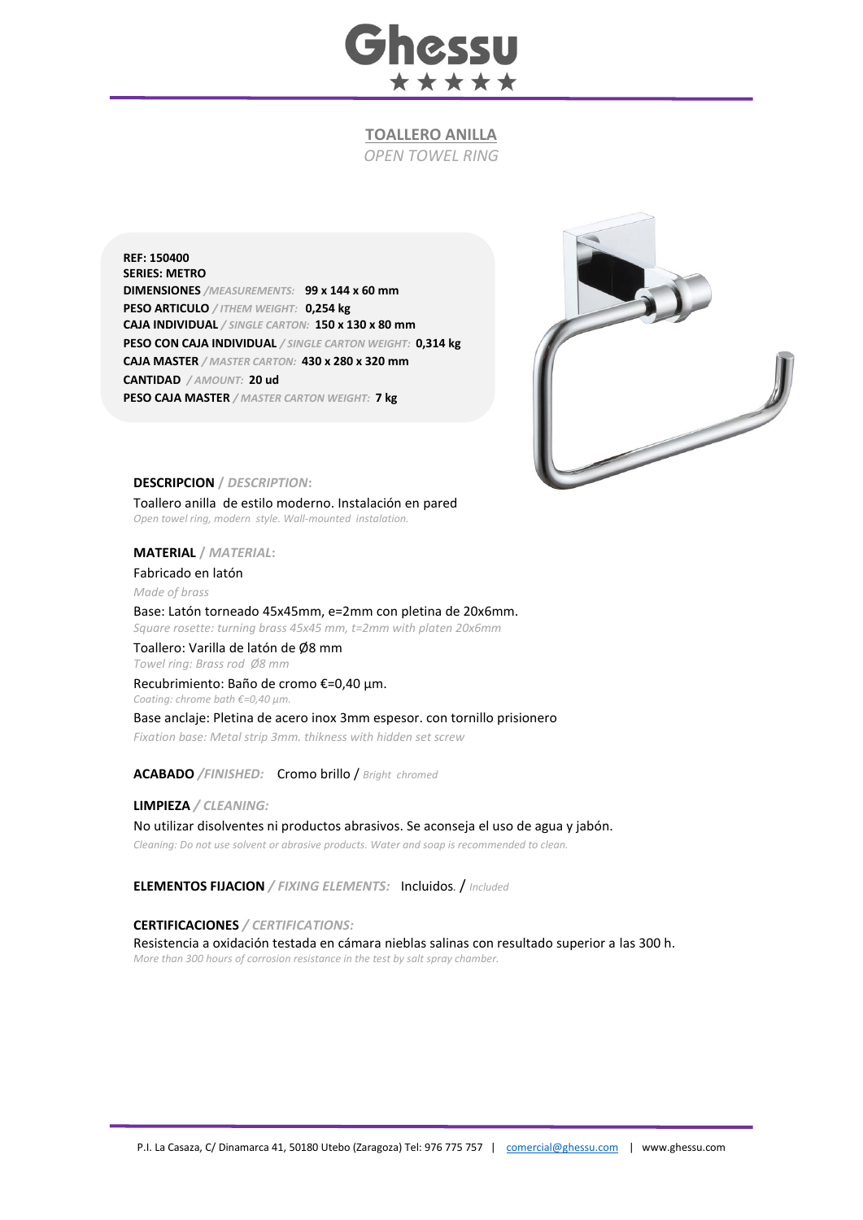

# **TOALLERO ANILLA**

*OPEN TOWEL RING*

**REF: 150400 SERIES: METRO DIMENSIONES** */MEASUREMENTS:* **99 x 144 x 60 mm PESO ARTICULO** */ ITHEM WEIGHT:* **0,254 kg CAJA INDIVIDUAL** */ SINGLE CARTON:* **150 x 130 x 80 mm PESO CON CAJA INDIVIDUAL** */ SINGLE CARTON WEIGHT:* **0,314 kg CAJA MASTER** */ MASTER CARTON:* **430 x 280 x 320 mm CANTIDAD** */ AMOUNT:* **20 ud PESO CAJA MASTER** */ MASTER CARTON WEIGHT:* **7 kg**



### **DESCRIPCION /** *DESCRIPTION***:**

Toallero anilla de estilo moderno. Instalación en pared *Open towel ring, modern style. Wall-mounted instalation.*

#### **MATERIAL /** *MATERIAL***:**

## Fabricado en latón

*Made of brass*

Base: Latón torneado 45x45mm, e=2mm con pletina de 20x6mm. *Square rosette: turning brass 45x45 mm, t=2mm with platen 20x6mm*

Toallero: Varilla de latón de Ø8 mm *Towel ring: Brass rod Ø8 mm*

Recubrimiento: Baño de cromo €=0,40 μm. *Coating: chrome bath €=0,40 μm.* Base anclaje: Pletina de acero inox 3mm espesor. con tornillo prisionero *Fixation base: Metal strip 3mm. thikness with hidden set screw*

**ACABADO** */FINISHED:*Cromo brillo / *Bright chromed*

#### **LIMPIEZA** */ CLEANING:*

No utilizar disolventes ni productos abrasivos. Se aconseja el uso de agua y jabón.

*Cleaning: Do not use solvent or abrasive products. Water and soap is recommended to clean.*

**ELEMENTOS FIJACION** */ FIXING ELEMENTS:* Incluidos*.* / *Included*

**CERTIFICACIONES** */ CERTIFICATIONS:*

Resistencia a oxidación testada en cámara nieblas salinas con resultado superior a las 300 h. *More than 300 hours of corrosion resistance in the test by salt spray chamber.*